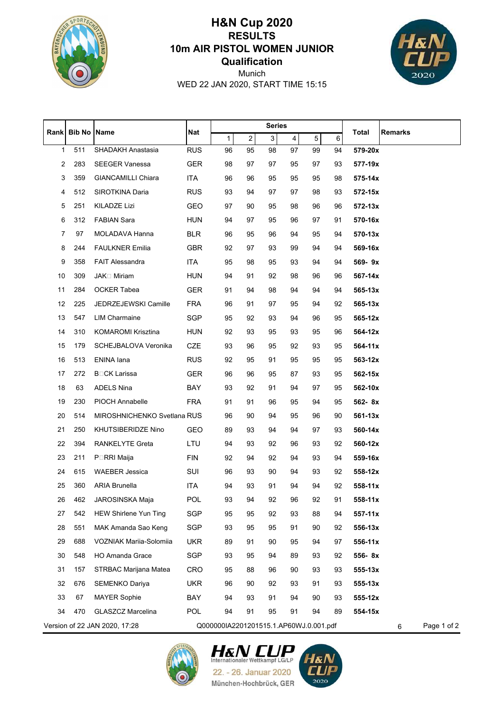

## **Qualification 10m AIR PISTOL WOMEN JUNIOR RESULTS H&N Cup 2020**



WED 22 JAN 2020, START TIME 15:15 Munich

|      |                                                                         | Name                         | Nat        | <b>Series</b> |                  |              |                         |    |    |             |         |
|------|-------------------------------------------------------------------------|------------------------------|------------|---------------|------------------|--------------|-------------------------|----|----|-------------|---------|
| Rank | <b>Bib No</b>                                                           |                              |            | $\mathbf{1}$  | $\boldsymbol{2}$ | $\mathbf{3}$ | $\overline{\mathbf{4}}$ | 5  | 6  | Total       | Remarks |
| 1    | 511                                                                     | SHADAKH Anastasia            | <b>RUS</b> | 96            | 95               | 98           | 97                      | 99 | 94 | 579-20x     |         |
| 2    | 283                                                                     | <b>SEEGER Vanessa</b>        | <b>GER</b> | 98            | 97               | 97           | 95                      | 97 | 93 | 577-19x     |         |
| 3    | 359                                                                     | <b>GIANCAMILLI Chiara</b>    | <b>ITA</b> | 96            | 96               | 95           | 95                      | 95 | 98 | 575-14x     |         |
| 4    | 512                                                                     | SIROTKINA Daria              | <b>RUS</b> | 93            | 94               | 97           | 97                      | 98 | 93 | 572-15x     |         |
| 5    | 251                                                                     | <b>KILADZE Lizi</b>          | GEO        | 97            | 90               | 95           | 98                      | 96 | 96 | 572-13x     |         |
| 6    | 312                                                                     | <b>FABIAN Sara</b>           | <b>HUN</b> | 94            | 97               | 95           | 96                      | 97 | 91 | 570-16x     |         |
| 7    | 97                                                                      | MOLADAVA Hanna               | <b>BLR</b> | 96            | 95               | 96           | 94                      | 95 | 94 | 570-13x     |         |
| 8    | 244                                                                     | <b>FAULKNER Emilia</b>       | <b>GBR</b> | 92            | 97               | 93           | 99                      | 94 | 94 | 569-16x     |         |
| 9    | 358                                                                     | <b>FAIT Alessandra</b>       | <b>ITA</b> | 95            | 98               | 95           | 93                      | 94 | 94 | 569-9x      |         |
| 10   | 309                                                                     | <b>JAK</b> □ Miriam          | <b>HUN</b> | 94            | 91               | 92           | 98                      | 96 | 96 | 567-14x     |         |
| 11   | 284                                                                     | <b>OCKER Tabea</b>           | <b>GER</b> | 91            | 94               | 98           | 94                      | 94 | 94 | $565 - 13x$ |         |
| 12   | 225                                                                     | JEDRZEJEWSKI Camille         | <b>FRA</b> | 96            | 91               | 97           | 95                      | 94 | 92 | $565 - 13x$ |         |
| 13   | 547                                                                     | <b>LIM Charmaine</b>         | <b>SGP</b> | 95            | 92               | 93           | 94                      | 96 | 95 | 565-12x     |         |
| 14   | 310                                                                     | <b>KOMAROMI Krisztina</b>    | <b>HUN</b> | 92            | 93               | 95           | 93                      | 95 | 96 | 564-12x     |         |
| 15   | 179                                                                     | SCHEJBALOVA Veronika         | CZE        | 93            | 96               | 95           | 92                      | 93 | 95 | $564 - 11x$ |         |
| 16   | 513                                                                     | ENINA lana                   | <b>RUS</b> | 92            | 95               | 91           | 95                      | 95 | 95 | 563-12x     |         |
| 17   | 272                                                                     | <b>B</b> □CK Larissa         | <b>GER</b> | 96            | 96               | 95           | 87                      | 93 | 95 | 562-15x     |         |
| 18   | 63                                                                      | <b>ADELS Nina</b>            | BAY        | 93            | 92               | 91           | 94                      | 97 | 95 | 562-10x     |         |
| 19   | 230                                                                     | PIOCH Annabelle              | <b>FRA</b> | 91            | 91               | 96           | 95                      | 94 | 95 | 562-8x      |         |
| 20   | 514                                                                     | MIROSHNICHENKO Svetlana RUS  |            | 96            | 90               | 94           | 95                      | 96 | 90 | $561 - 13x$ |         |
| 21   | 250                                                                     | KHUTSIBERIDZE Nino           | GEO        | 89            | 93               | 94           | 94                      | 97 | 93 | 560-14x     |         |
| 22   | 394                                                                     | <b>RANKELYTE Greta</b>       | LTU        | 94            | 93               | 92           | 96                      | 93 | 92 | 560-12x     |         |
| 23   | 211                                                                     | P⊡RRI Maija                  | <b>FIN</b> | 92            | 94               | 92           | 94                      | 93 | 94 | 559-16x     |         |
| 24   | 615                                                                     | <b>WAEBER Jessica</b>        | SUI        | 96            | 93               | 90           | 94                      | 93 | 92 | 558-12x     |         |
| 25   | 360                                                                     | <b>ARIA Brunella</b>         | ITA        | 94            | 93               | 91           | 94                      | 94 | 92 | 558-11x     |         |
| 26   | 462                                                                     | JAROSINSKA Maja              | POL        | 93            | 94               | 92           | 96                      | 92 | 91 | 558-11x     |         |
| 27   | 542                                                                     | <b>HEW Shirlene Yun Ting</b> | SGP        | 95            | 95               | 92           | 93                      | 88 | 94 | $557 - 11x$ |         |
| 28   | 551                                                                     | MAK Amanda Sao Keng          | SGP        | 93            | 95               | 95           | 91                      | 90 | 92 | 556-13x     |         |
| 29   | 688                                                                     | VOZNIAK Mariia-Solomiia      | <b>UKR</b> | 89            | 91               | 90           | 95                      | 94 | 97 | 556-11x     |         |
| 30   | 548                                                                     | <b>HO Amanda Grace</b>       | SGP        | 93            | 95               | 94           | 89                      | 93 | 92 | 556-8x      |         |
| 31   | 157                                                                     | <b>STRBAC Marijana Matea</b> | <b>CRO</b> | 95            | 88               | 96           | 90                      | 93 | 93 | $555 - 13x$ |         |
| 32   | 676                                                                     | SEMENKO Dariya               | <b>UKR</b> | 96            | 90               | 92           | 93                      | 91 | 93 | $555 - 13x$ |         |
| 33   | 67                                                                      | <b>MAYER Sophie</b>          | BAY        | 94            | 93               | 91           | 94                      | 90 | 93 | 555-12x     |         |
| 34   | 470                                                                     | <b>GLASZCZ Marcelina</b>     | <b>POL</b> | 94            | 91               | 95           | 91                      | 94 | 89 | 554-15x     |         |
|      | Version of 22 JAN 2020, 17:28<br>Q000000IA2201201515.1.AP60WJ.0.001.pdf |                              |            |               |                  |              | Page 1 of 2<br>6        |    |    |             |         |